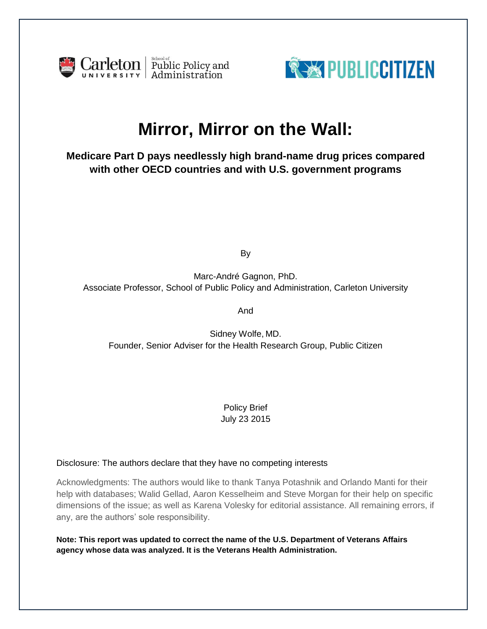



# **Mirror, Mirror on the Wall:**

**Medicare Part D pays needlessly high brand-name drug prices compared with other OECD countries and with U.S. government programs**

By

Marc-André Gagnon, PhD. Associate Professor, School of Public Policy and Administration, Carleton University

And

Sidney Wolfe, MD. Founder, Senior Adviser for the Health Research Group, Public Citizen

> Policy Brief July 23 2015

## Disclosure: The authors declare that they have no competing interests

Acknowledgments: The authors would like to thank Tanya Potashnik and Orlando Manti for their help with databases; Walid Gellad, Aaron Kesselheim and Steve Morgan for their help on specific dimensions of the issue; as well as Karena Volesky for editorial assistance. All remaining errors, if any, are the authors' sole responsibility.

**Note: This report was updated to correct the name of the U.S. Department of Veterans Affairs agency whose data was analyzed. It is the Veterans Health Administration.**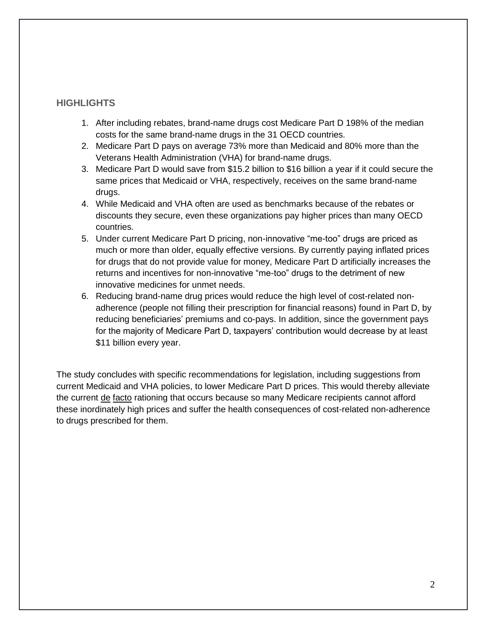## **HIGHLIGHTS**

- 1. After including rebates, brand-name drugs cost Medicare Part D 198% of the median costs for the same brand-name drugs in the 31 OECD countries.
- 2. Medicare Part D pays on average 73% more than Medicaid and 80% more than the Veterans Health Administration (VHA) for brand-name drugs.
- 3. Medicare Part D would save from \$15.2 billion to \$16 billion a year if it could secure the same prices that Medicaid or VHA, respectively, receives on the same brand-name drugs.
- 4. While Medicaid and VHA often are used as benchmarks because of the rebates or discounts they secure, even these organizations pay higher prices than many OECD countries.
- 5. Under current Medicare Part D pricing, non-innovative "me-too" drugs are priced as much or more than older, equally effective versions. By currently paying inflated prices for drugs that do not provide value for money, Medicare Part D artificially increases the returns and incentives for non-innovative "me-too" drugs to the detriment of new innovative medicines for unmet needs.
- 6. Reducing brand-name drug prices would reduce the high level of cost-related nonadherence (people not filling their prescription for financial reasons) found in Part D, by reducing beneficiaries' premiums and co-pays. In addition, since the government pays for the majority of Medicare Part D, taxpayers' contribution would decrease by at least \$11 billion every year.

The study concludes with specific recommendations for legislation, including suggestions from current Medicaid and VHA policies, to lower Medicare Part D prices. This would thereby alleviate the current de facto rationing that occurs because so many Medicare recipients cannot afford these inordinately high prices and suffer the health consequences of cost-related non-adherence to drugs prescribed for them.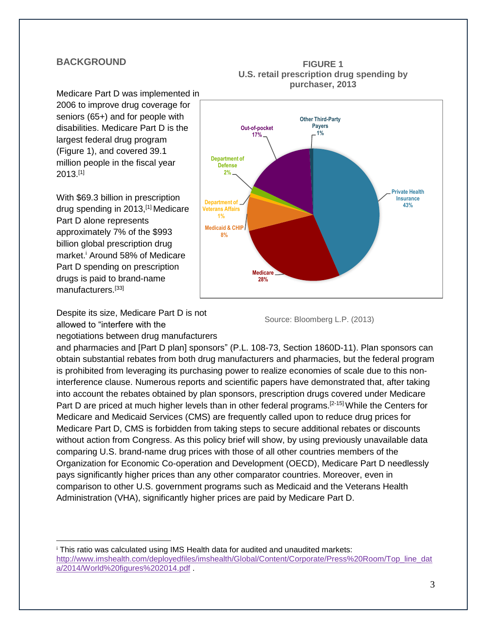## **BACKGROUND**

Medicare Part D was implemented in 2006 to improve drug coverage for seniors (65+) and for people with disabilities. Medicare Part D is the largest federal drug program (Figure 1), and covered 39.1 million people in the fiscal year 2013.[1]

With \$69.3 billion in prescription drug spending in 2013,[1] Medicare Part D alone represents approximately 7% of the \$993 billion global prescription drug market. <sup>i</sup> Around 58% of Medicare Part D spending on prescription drugs is paid to brand-name manufacturers.<sup>[33]</sup>

Despite its size, Medicare Part D is not allowed to "interfere with the negotiations between drug manufacturers

 $\overline{a}$ 



#### **FIGURE 1 U.S. retail prescription drug spending by purchaser, 2013**

Source: Bloomberg L.P. (2013)

and pharmacies and [Part D plan] sponsors" (P.L. 108-73, Section 1860D-11). Plan sponsors can obtain substantial rebates from both drug manufacturers and pharmacies, but the federal program is prohibited from leveraging its purchasing power to realize economies of scale due to this noninterference clause. Numerous reports and scientific papers have demonstrated that, after taking into account the rebates obtained by plan sponsors, prescription drugs covered under Medicare Part D are priced at much higher levels than in other federal programs.<sup>[2-15]</sup> While the Centers for Medicare and Medicaid Services (CMS) are frequently called upon to reduce drug prices for Medicare Part D, CMS is forbidden from taking steps to secure additional rebates or discounts without action from Congress. As this policy brief will show, by using previously unavailable data comparing U.S. brand-name drug prices with those of all other countries members of the Organization for Economic Co-operation and Development (OECD), Medicare Part D needlessly pays significantly higher prices than any other comparator countries. Moreover, even in comparison to other U.S. government programs such as Medicaid and the Veterans Health Administration (VHA), significantly higher prices are paid by Medicare Part D.

<sup>i</sup> This ratio was calculated using IMS Health data for audited and unaudited markets: [http://www.imshealth.com/deployedfiles/imshealth/Global/Content/Corporate/Press%20Room/Top\\_line\\_dat](http://www.imshealth.com/deployedfiles/imshealth/Global/Content/Corporate/Press%20Room/Top_line_data/2014/World%20figures%202014.pdf) [a/2014/World%20figures%202014.pdf](http://www.imshealth.com/deployedfiles/imshealth/Global/Content/Corporate/Press%20Room/Top_line_data/2014/World%20figures%202014.pdf) .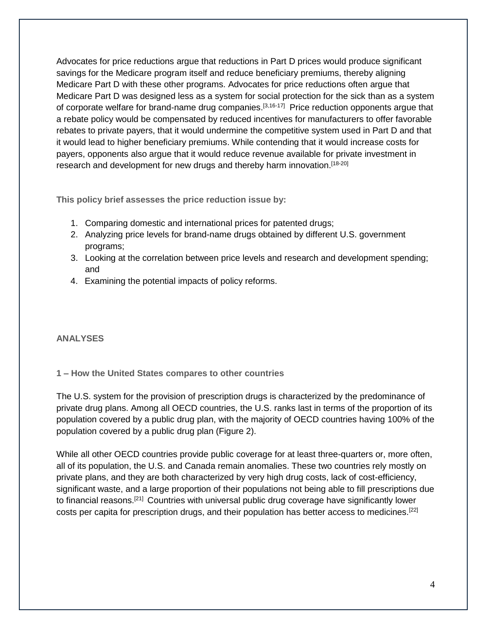Advocates for price reductions argue that reductions in Part D prices would produce significant savings for the Medicare program itself and reduce beneficiary premiums, thereby aligning Medicare Part D with these other programs. Advocates for price reductions often argue that Medicare Part D was designed less as a system for social protection for the sick than as a system of corporate welfare for brand-name drug companies.<sup>[3,16-17]</sup> Price reduction opponents argue that a rebate policy would be compensated by reduced incentives for manufacturers to offer favorable rebates to private payers, that it would undermine the competitive system used in Part D and that it would lead to higher beneficiary premiums. While contending that it would increase costs for payers, opponents also argue that it would reduce revenue available for private investment in research and development for new drugs and thereby harm innovation.<sup>[18-20]</sup>

**This policy brief assesses the price reduction issue by:** 

- 1. Comparing domestic and international prices for patented drugs;
- 2. Analyzing price levels for brand-name drugs obtained by different U.S. government programs;
- 3. Looking at the correlation between price levels and research and development spending; and
- 4. Examining the potential impacts of policy reforms.

## **ANALYSES**

**1 – How the United States compares to other countries**

The U.S. system for the provision of prescription drugs is characterized by the predominance of private drug plans. Among all OECD countries, the U.S. ranks last in terms of the proportion of its population covered by a public drug plan, with the majority of OECD countries having 100% of the population covered by a public drug plan (Figure 2).

While all other OECD countries provide public coverage for at least three-quarters or, more often, all of its population, the U.S. and Canada remain anomalies. These two countries rely mostly on private plans, and they are both characterized by very high drug costs, lack of cost-efficiency, significant waste, and a large proportion of their populations not being able to fill prescriptions due to financial reasons.<sup>[21]</sup> Countries with universal public drug coverage have significantly lower costs per capita for prescription drugs, and their population has better access to medicines.[22]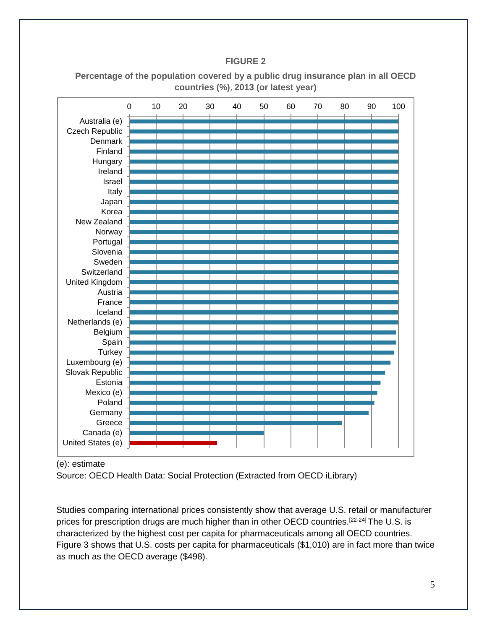## **FIGURE 2**

|                   | 0 | 10 | 20 | 30 | 40 | 50 | 60 | 70 | 80 | 90 | 100 |
|-------------------|---|----|----|----|----|----|----|----|----|----|-----|
| Australia (e)     |   |    |    |    |    |    |    |    |    |    |     |
| Czech Republic    |   |    |    |    |    |    |    |    |    |    |     |
| <b>Denmark</b>    |   |    |    |    |    |    |    |    |    |    |     |
| Finland           |   |    |    |    |    |    |    |    |    |    |     |
| Hungary           |   |    |    |    |    |    |    |    |    |    |     |
| Ireland           |   |    |    |    |    |    |    |    |    |    |     |
| Israel            |   |    |    |    |    |    |    |    |    |    |     |
| Italy             |   |    |    |    |    |    |    |    |    |    |     |
| Japan             |   |    |    |    |    |    |    |    |    |    |     |
| Korea             |   |    |    |    |    |    |    |    |    |    |     |
| New Zealand       |   |    |    |    |    |    |    |    |    |    |     |
| Norway            |   |    |    |    |    |    |    |    |    |    |     |
| Portugal          |   |    |    |    |    |    |    |    |    |    |     |
| Slovenia          |   |    |    |    |    |    |    |    |    |    |     |
| Sweden            |   |    |    |    |    |    |    |    |    |    |     |
| Switzerland       |   |    |    |    |    |    |    |    |    |    |     |
| United Kingdom    |   |    |    |    |    |    |    |    |    |    |     |
| Austria           |   |    |    |    |    |    |    |    |    |    |     |
| France            |   |    |    |    |    |    |    |    |    |    |     |
| Iceland           |   |    |    |    |    |    |    |    |    |    |     |
| Netherlands (e)   |   |    |    |    |    |    |    |    |    |    |     |
| Belgium           |   |    |    |    |    |    |    |    |    |    |     |
| Spain             |   |    |    |    |    |    |    |    |    |    |     |
| <b>Turkey</b>     |   |    |    |    |    |    |    |    |    |    |     |
| Luxembourg (e)    |   |    |    |    |    |    |    |    |    |    |     |
| Slovak Republic   |   |    |    |    |    |    |    |    |    |    |     |
| Estonia           |   |    |    |    |    |    |    |    |    |    |     |
| Mexico (e)        |   |    |    |    |    |    |    |    |    |    |     |
| Poland            |   |    |    |    |    |    |    |    |    |    |     |
| Germany           |   |    |    |    |    |    |    |    |    |    |     |
| Greece            |   |    |    |    |    |    |    |    |    |    |     |
| Canada (e)        |   |    |    |    |    |    |    |    |    |    |     |
| United States (e) |   |    |    |    |    |    |    |    |    |    |     |

**Percentage of the population covered by a public drug insurance plan in all OECD countries (%)**, **2013 (or latest year)**

(e): estimate

Source: OECD Health Data: Social Protection (Extracted from OECD iLibrary)

Studies comparing international prices consistently show that average U.S. retail or manufacturer prices for prescription drugs are much higher than in other OECD countries.<sup>[22-24]</sup> The U.S. is characterized by the highest cost per capita for pharmaceuticals among all OECD countries. Figure 3 shows that U.S. costs per capita for pharmaceuticals (\$1,010) are in fact more than twice as much as the OECD average (\$498).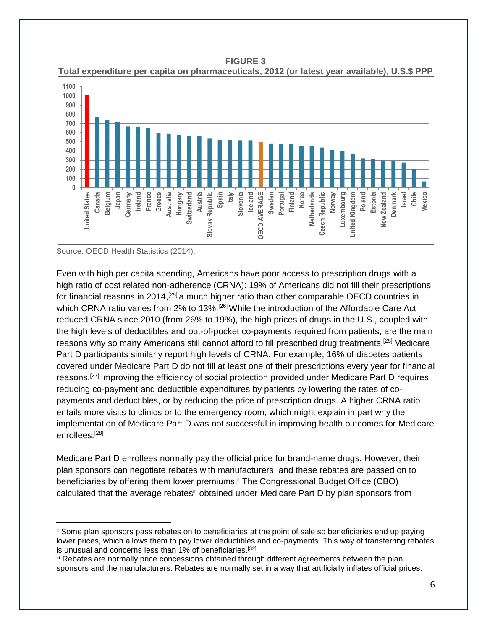**0 100 200 300 400 500 600 700 800 900 1000 1100 United States Canada Belgium Japan Germany Ireland France Greece Australia Hungary Switzerland** Austria<br>Slovak Republic **Slovak Republic Spain Italy Slovenia Iceland**<br>**DECD AVERAGE OECD AVERAGE Sweden Portugal Finland Korea Netherlands**<br>Czech Republic **Czech Republic Norway Luxembourg United Kingdom Poland Estonia New Zealand Denmark Israel Chile Mexico**



Source: OECD Health Statistics (2014).

 $\overline{a}$ 

Even with high per capita spending, Americans have poor access to prescription drugs with a high ratio of cost related non-adherence (CRNA): 19% of Americans did not fill their prescriptions for financial reasons in 2014,<sup>[25]</sup> a much higher ratio than other comparable OECD countries in which CRNA ratio varies from 2% to 13%.<sup>[26]</sup> While the introduction of the Affordable Care Act reduced CRNA since 2010 (from 26% to 19%), the high prices of drugs in the U.S., coupled with the high levels of deductibles and out-of-pocket co-payments required from patients, are the main reasons why so many Americans still cannot afford to fill prescribed drug treatments.[25] Medicare Part D participants similarly report high levels of CRNA. For example, 16% of diabetes patients covered under Medicare Part D do not fill at least one of their prescriptions every year for financial reasons.<sup>[27]</sup> Improving the efficiency of social protection provided under Medicare Part D requires reducing co-payment and deductible expenditures by patients by lowering the rates of copayments and deductibles, or by reducing the price of prescription drugs. A higher CRNA ratio entails more visits to clinics or to the emergency room, which might explain in part why the implementation of Medicare Part D was not successful in improving health outcomes for Medicare enrollees.[28]

Medicare Part D enrollees normally pay the official price for brand-name drugs. However, their plan sponsors can negotiate rebates with manufacturers, and these rebates are passed on to beneficiaries by offering them lower premiums.<sup>ii</sup> The Congressional Budget Office (CBO) calculated that the average rebates<sup>iii</sup> obtained under Medicare Part D by plan sponsors from

ii Some plan sponsors pass rebates on to beneficiaries at the point of sale so beneficiaries end up paying lower prices, which allows them to pay lower deductibles and co-payments. This way of transferring rebates is unusual and concerns less than 1% of beneficiaries.<sup>[32]</sup>

iii Rebates are normally price concessions obtained through different agreements between the plan sponsors and the manufacturers. Rebates are normally set in a way that artificially inflates official prices.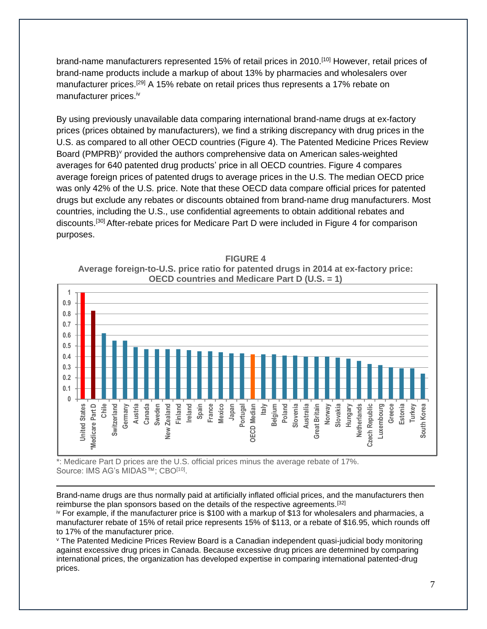brand-name manufacturers represented 15% of retail prices in 2010.<sup>[10]</sup> However, retail prices of brand-name products include a markup of about 13% by pharmacies and wholesalers over manufacturer prices.<sup>[29]</sup> A 15% rebate on retail prices thus represents a 17% rebate on manufacturer prices.<sup>iv</sup>

By using previously unavailable data comparing international brand-name drugs at ex-factory prices (prices obtained by manufacturers), we find a striking discrepancy with drug prices in the U.S. as compared to all other OECD countries (Figure 4). The Patented Medicine Prices Review Board (PMPRB)<sup>v</sup> provided the authors comprehensive data on American sales-weighted averages for 640 patented drug products' price in all OECD countries. Figure 4 compares average foreign prices of patented drugs to average prices in the U.S. The median OECD price was only 42% of the U.S. price. Note that these OECD data compare official prices for patented drugs but exclude any rebates or discounts obtained from brand-name drug manufacturers. Most countries, including the U.S., use confidential agreements to obtain additional rebates and discounts.<sup>[30]</sup> After-rebate prices for Medicare Part D were included in Figure 4 for comparison purposes.

**FIGURE 4 Average foreign-to-U.S. price ratio for patented drugs in 2014 at ex-factory price: OECD countries and Medicare Part D (U.S. = 1)**



\*: Medicare Part D prices are the U.S. official prices minus the average rebate of 17%. Source: IMS AG's MIDAS™; CBO<sup>[10]</sup>.

 $\overline{a}$ 

Brand-name drugs are thus normally paid at artificially inflated official prices, and the manufacturers then reimburse the plan sponsors based on the details of the respective agreements.[32]

iv For example, if the manufacturer price is \$100 with a markup of \$13 for wholesalers and pharmacies, a manufacturer rebate of 15% of retail price represents 15% of \$113, or a rebate of \$16.95, which rounds off to 17% of the manufacturer price.

<sup>v</sup> The Patented Medicine Prices Review Board is a Canadian independent quasi-judicial body monitoring against excessive drug prices in Canada. Because excessive drug prices are determined by comparing international prices, the organization has developed expertise in comparing international patented-drug prices.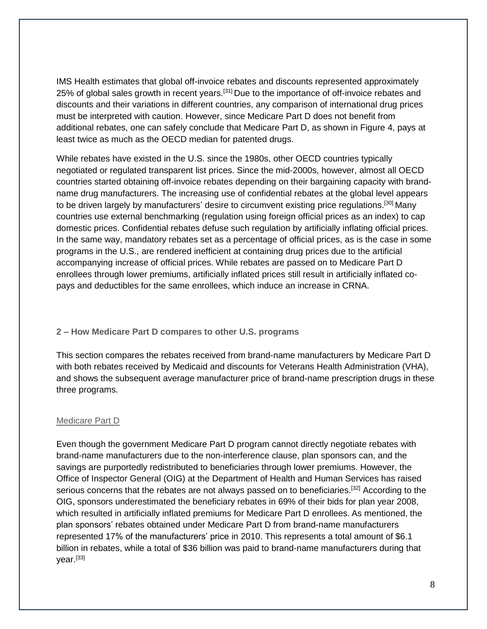IMS Health estimates that global off-invoice rebates and discounts represented approximately 25% of global sales growth in recent years.<sup>[31]</sup> Due to the importance of off-invoice rebates and discounts and their variations in different countries, any comparison of international drug prices must be interpreted with caution. However, since Medicare Part D does not benefit from additional rebates, one can safely conclude that Medicare Part D, as shown in Figure 4, pays at least twice as much as the OECD median for patented drugs.

While rebates have existed in the U.S. since the 1980s, other OECD countries typically negotiated or regulated transparent list prices. Since the mid-2000s, however, almost all OECD countries started obtaining off-invoice rebates depending on their bargaining capacity with brandname drug manufacturers. The increasing use of confidential rebates at the global level appears to be driven largely by manufacturers' desire to circumvent existing price regulations.<sup>[30]</sup> Many countries use external benchmarking (regulation using foreign official prices as an index) to cap domestic prices. Confidential rebates defuse such regulation by artificially inflating official prices. In the same way, mandatory rebates set as a percentage of official prices, as is the case in some programs in the U.S., are rendered inefficient at containing drug prices due to the artificial accompanying increase of official prices. While rebates are passed on to Medicare Part D enrollees through lower premiums, artificially inflated prices still result in artificially inflated copays and deductibles for the same enrollees, which induce an increase in CRNA.

### **2 – How Medicare Part D compares to other U.S. programs**

This section compares the rebates received from brand-name manufacturers by Medicare Part D with both rebates received by Medicaid and discounts for Veterans Health Administration (VHA), and shows the subsequent average manufacturer price of brand-name prescription drugs in these three programs.

### Medicare Part D

Even though the government Medicare Part D program cannot directly negotiate rebates with brand-name manufacturers due to the non-interference clause, plan sponsors can, and the savings are purportedly redistributed to beneficiaries through lower premiums. However, the Office of Inspector General (OIG) at the Department of Health and Human Services has raised serious concerns that the rebates are not always passed on to beneficiaries.<sup>[32]</sup> According to the OIG, sponsors underestimated the beneficiary rebates in 69% of their bids for plan year 2008, which resulted in artificially inflated premiums for Medicare Part D enrollees. As mentioned, the plan sponsors' rebates obtained under Medicare Part D from brand-name manufacturers represented 17% of the manufacturers' price in 2010. This represents a total amount of \$6.1 billion in rebates, while a total of \$36 billion was paid to brand-name manufacturers during that year.<sup>[33]</sup>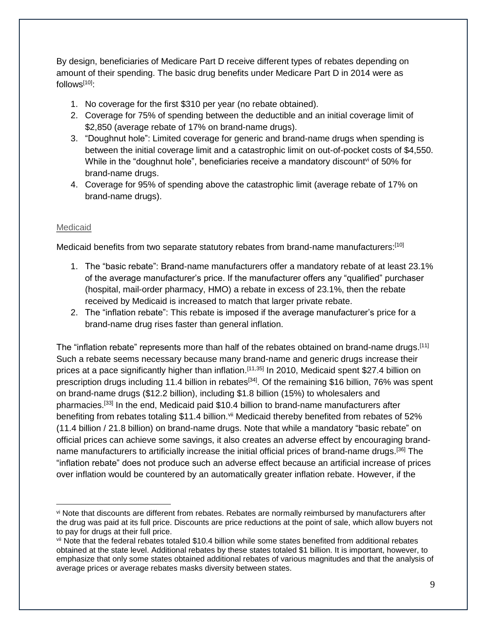By design, beneficiaries of Medicare Part D receive different types of rebates depending on amount of their spending. The basic drug benefits under Medicare Part D in 2014 were as follows $[10]$ :

- 1. No coverage for the first \$310 per year (no rebate obtained).
- 2. Coverage for 75% of spending between the deductible and an initial coverage limit of \$2,850 (average rebate of 17% on brand-name drugs).
- 3. "Doughnut hole": Limited coverage for generic and brand-name drugs when spending is between the initial coverage limit and a catastrophic limit on out-of-pocket costs of \$4,550. While in the "doughnut hole", beneficiaries receive a mandatory discount<sup>vi</sup> of 50% for brand-name drugs.
- 4. Coverage for 95% of spending above the catastrophic limit (average rebate of 17% on brand-name drugs).

### Medicaid

 $\overline{a}$ 

Medicaid benefits from two separate statutory rebates from brand-name manufacturers:<sup>[10]</sup>

- 1. The "basic rebate": Brand-name manufacturers offer a mandatory rebate of at least 23.1% of the average manufacturer's price. If the manufacturer offers any "qualified" purchaser (hospital, mail-order pharmacy, HMO) a rebate in excess of 23.1%, then the rebate received by Medicaid is increased to match that larger private rebate.
- 2. The "inflation rebate": This rebate is imposed if the average manufacturer's price for a brand-name drug rises faster than general inflation.

The "inflation rebate" represents more than half of the rebates obtained on brand-name drugs.<sup>[11]</sup> Such a rebate seems necessary because many brand-name and generic drugs increase their prices at a pace significantly higher than inflation.<sup>[11,35]</sup> In 2010, Medicaid spent \$27.4 billion on prescription drugs including 11.4 billion in rebates<sup>[34]</sup>. Of the remaining \$16 billion, 76% was spent on brand-name drugs (\$12.2 billion), including \$1.8 billion (15%) to wholesalers and pharmacies.<sup>[33]</sup> In the end, Medicaid paid \$10.4 billion to brand-name manufacturers after benefiting from rebates totaling \$11.4 billion.<sup>vii</sup> Medicaid thereby benefited from rebates of 52% (11.4 billion / 21.8 billion) on brand-name drugs. Note that while a mandatory "basic rebate" on official prices can achieve some savings, it also creates an adverse effect by encouraging brandname manufacturers to artificially increase the initial official prices of brand-name drugs.<sup>[36]</sup> The "inflation rebate" does not produce such an adverse effect because an artificial increase of prices over inflation would be countered by an automatically greater inflation rebate. However, if the

vi Note that discounts are different from rebates. Rebates are normally reimbursed by manufacturers after the drug was paid at its full price. Discounts are price reductions at the point of sale, which allow buyers not to pay for drugs at their full price.

vii Note that the federal rebates totaled \$10.4 billion while some states benefited from additional rebates obtained at the state level. Additional rebates by these states totaled \$1 billion. It is important, however, to emphasize that only some states obtained additional rebates of various magnitudes and that the analysis of average prices or average rebates masks diversity between states.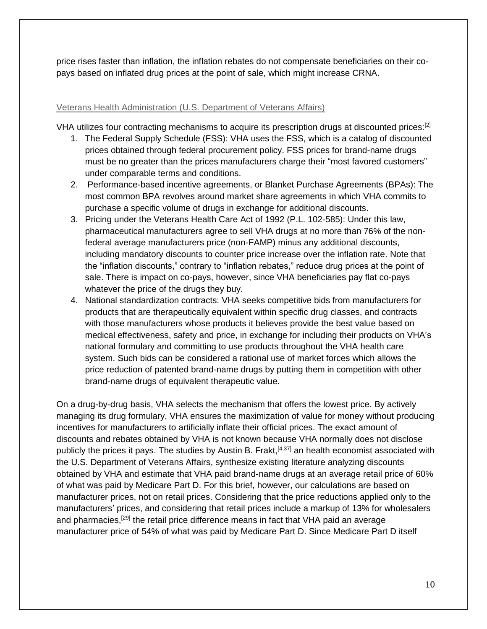price rises faster than inflation, the inflation rebates do not compensate beneficiaries on their copays based on inflated drug prices at the point of sale, which might increase CRNA.

## Veterans Health Administration (U.S. Department of Veterans Affairs)

VHA utilizes four contracting mechanisms to acquire its prescription drugs at discounted prices:<sup>[2]</sup>

- 1. The Federal Supply Schedule (FSS): VHA uses the FSS, which is a catalog of discounted prices obtained through federal procurement policy. FSS prices for brand-name drugs must be no greater than the prices manufacturers charge their "most favored customers" under comparable terms and conditions.
- 2. Performance-based incentive agreements, or Blanket Purchase Agreements (BPAs): The most common BPA revolves around market share agreements in which VHA commits to purchase a specific volume of drugs in exchange for additional discounts.
- 3. Pricing under the Veterans Health Care Act of 1992 (P.L. 102-585): Under this law, pharmaceutical manufacturers agree to sell VHA drugs at no more than 76% of the nonfederal average manufacturers price (non-FAMP) minus any additional discounts, including mandatory discounts to counter price increase over the inflation rate. Note that the "inflation discounts," contrary to "inflation rebates," reduce drug prices at the point of sale. There is impact on co-pays, however, since VHA beneficiaries pay flat co-pays whatever the price of the drugs they buy.
- 4. National standardization contracts: VHA seeks competitive bids from manufacturers for products that are therapeutically equivalent within specific drug classes, and contracts with those manufacturers whose products it believes provide the best value based on medical effectiveness, safety and price, in exchange for including their products on VHA's national formulary and committing to use products throughout the VHA health care system. Such bids can be considered a rational use of market forces which allows the price reduction of patented brand-name drugs by putting them in competition with other brand-name drugs of equivalent therapeutic value.

On a drug-by-drug basis, VHA selects the mechanism that offers the lowest price. By actively managing its drug formulary, VHA ensures the maximization of value for money without producing incentives for manufacturers to artificially inflate their official prices. The exact amount of discounts and rebates obtained by VHA is not known because VHA normally does not disclose publicly the prices it pays. The studies by Austin B. Frakt,<sup>[4,37]</sup> an health economist associated with the U.S. Department of Veterans Affairs, synthesize existing literature analyzing discounts obtained by VHA and estimate that VHA paid brand-name drugs at an average retail price of 60% of what was paid by Medicare Part D. For this brief, however, our calculations are based on manufacturer prices, not on retail prices. Considering that the price reductions applied only to the manufacturers' prices, and considering that retail prices include a markup of 13% for wholesalers and pharmacies,<sup>[29]</sup> the retail price difference means in fact that VHA paid an average manufacturer price of 54% of what was paid by Medicare Part D. Since Medicare Part D itself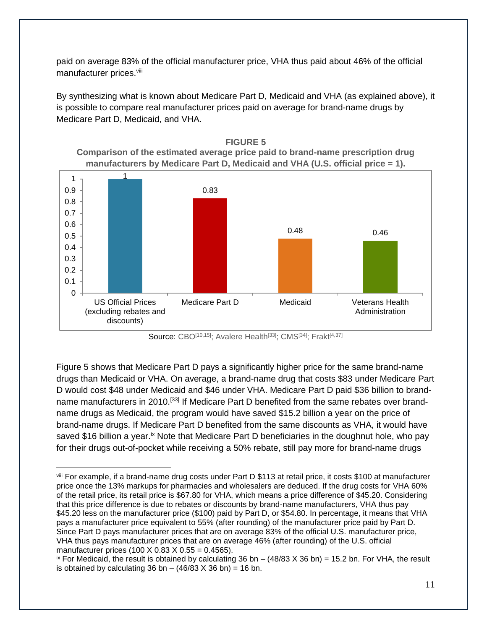paid on average 83% of the official manufacturer price, VHA thus paid about 46% of the official manufacturer prices.<sup>viii</sup>

By synthesizing what is known about Medicare Part D, Medicaid and VHA (as explained above), it is possible to compare real manufacturer prices paid on average for brand-name drugs by Medicare Part D, Medicaid, and VHA.



Source: CBO<sup>[10,15]</sup>; Avalere Health<sup>[33]</sup>; CMS<sup>[34]</sup>; Frakt<sup>[4,37]</sup>

Figure 5 shows that Medicare Part D pays a significantly higher price for the same brand-name drugs than Medicaid or VHA. On average, a brand-name drug that costs \$83 under Medicare Part D would cost \$48 under Medicaid and \$46 under VHA. Medicare Part D paid \$36 billion to brandname manufacturers in 2010.<sup>[33]</sup> If Medicare Part D benefited from the same rebates over brandname drugs as Medicaid, the program would have saved \$15.2 billion a year on the price of brand-name drugs. If Medicare Part D benefited from the same discounts as VHA, it would have saved \$16 billion a year.<sup>ix</sup> Note that Medicare Part D beneficiaries in the doughnut hole, who pay for their drugs out-of-pocket while receiving a 50% rebate, still pay more for brand-name drugs

 $\overline{a}$ viii For example, if a brand-name drug costs under Part D \$113 at retail price, it costs \$100 at manufacturer price once the 13% markups for pharmacies and wholesalers are deduced. If the drug costs for VHA 60% of the retail price, its retail price is \$67.80 for VHA, which means a price difference of \$45.20. Considering that this price difference is due to rebates or discounts by brand-name manufacturers, VHA thus pay \$45.20 less on the manufacturer price (\$100) paid by Part D, or \$54.80. In percentage, it means that VHA pays a manufacturer price equivalent to 55% (after rounding) of the manufacturer price paid by Part D. Since Part D pays manufacturer prices that are on average 83% of the official U.S. manufacturer price, VHA thus pays manufacturer prices that are on average 46% (after rounding) of the U.S. official manufacturer prices (100 X 0.83 X 0.55 = 0.4565).

 $\frac{1}{x}$  For Medicaid, the result is obtained by calculating 36 bn – (48/83 X 36 bn) = 15.2 bn. For VHA, the result is obtained by calculating 36 bn  $-$  (46/83 X 36 bn) = 16 bn.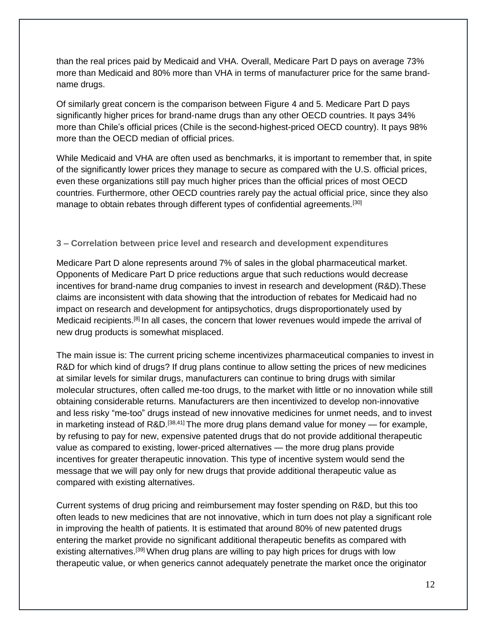than the real prices paid by Medicaid and VHA. Overall, Medicare Part D pays on average 73% more than Medicaid and 80% more than VHA in terms of manufacturer price for the same brandname drugs.

Of similarly great concern is the comparison between Figure 4 and 5. Medicare Part D pays significantly higher prices for brand-name drugs than any other OECD countries. It pays 34% more than Chile's official prices (Chile is the second-highest-priced OECD country). It pays 98% more than the OECD median of official prices.

While Medicaid and VHA are often used as benchmarks, it is important to remember that, in spite of the significantly lower prices they manage to secure as compared with the U.S. official prices, even these organizations still pay much higher prices than the official prices of most OECD countries. Furthermore, other OECD countries rarely pay the actual official price, since they also manage to obtain rebates through different types of confidential agreements.[30]

### **3 – Correlation between price level and research and development expenditures**

Medicare Part D alone represents around 7% of sales in the global pharmaceutical market. Opponents of Medicare Part D price reductions argue that such reductions would decrease incentives for brand-name drug companies to invest in research and development (R&D).These claims are inconsistent with data showing that the introduction of rebates for Medicaid had no impact on research and development for antipsychotics, drugs disproportionately used by Medicaid recipients.<sup>[8]</sup> In all cases, the concern that lower revenues would impede the arrival of new drug products is somewhat misplaced.

The main issue is: The current pricing scheme incentivizes pharmaceutical companies to invest in R&D for which kind of drugs? If drug plans continue to allow setting the prices of new medicines at similar levels for similar drugs, manufacturers can continue to bring drugs with similar molecular structures, often called me-too drugs, to the market with little or no innovation while still obtaining considerable returns. Manufacturers are then incentivized to develop non-innovative and less risky "me-too" drugs instead of new innovative medicines for unmet needs, and to invest in marketing instead of R&D.<sup>[38,41]</sup> The more drug plans demand value for money — for example, by refusing to pay for new, expensive patented drugs that do not provide additional therapeutic value as compared to existing, lower-priced alternatives — the more drug plans provide incentives for greater therapeutic innovation. This type of incentive system would send the message that we will pay only for new drugs that provide additional therapeutic value as compared with existing alternatives.

Current systems of drug pricing and reimbursement may foster spending on R&D, but this too often leads to new medicines that are not innovative, which in turn does not play a significant role in improving the health of patients. It is estimated that around 80% of new patented drugs entering the market provide no significant additional therapeutic benefits as compared with existing alternatives.<sup>[39]</sup> When drug plans are willing to pay high prices for drugs with low therapeutic value, or when generics cannot adequately penetrate the market once the originator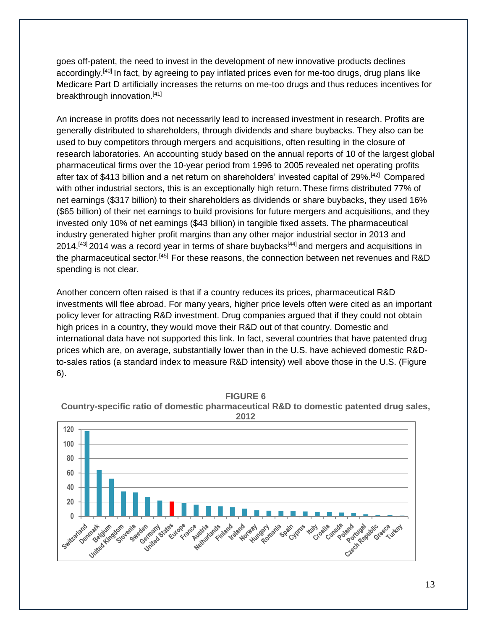goes off-patent, the need to invest in the development of new innovative products declines accordingly.<sup>[40]</sup> In fact, by agreeing to pay inflated prices even for me-too drugs, drug plans like Medicare Part D artificially increases the returns on me-too drugs and thus reduces incentives for breakthrough innovation.<sup>[41]</sup>

An increase in profits does not necessarily lead to increased investment in research. Profits are generally distributed to shareholders, through dividends and share buybacks. They also can be used to buy competitors through mergers and acquisitions, often resulting in the closure of research laboratories. An accounting study based on the annual reports of 10 of the largest global pharmaceutical firms over the 10-year period from 1996 to 2005 revealed net operating profits after tax of \$413 billion and a net return on shareholders' invested capital of 29%. [42] Compared with other industrial sectors, this is an exceptionally high return. These firms distributed 77% of net earnings (\$317 billion) to their shareholders as dividends or share buybacks, they used 16% (\$65 billion) of their net earnings to build provisions for future mergers and acquisitions, and they invested only 10% of net earnings (\$43 billion) in tangible fixed assets. The pharmaceutical industry generated higher profit margins than any other major industrial sector in 2013 and 2014.<sup>[43]</sup> 2014 was a record year in terms of share buybacks<sup>[44]</sup> and mergers and acquisitions in the pharmaceutical sector.<sup>[45]</sup> For these reasons, the connection between net revenues and R&D spending is not clear.

Another concern often raised is that if a country reduces its prices, pharmaceutical R&D investments will flee abroad. For many years, higher price levels often were cited as an important policy lever for attracting R&D investment. Drug companies argued that if they could not obtain high prices in a country, they would move their R&D out of that country. Domestic and international data have not supported this link. In fact, several countries that have patented drug prices which are, on average, substantially lower than in the U.S. have achieved domestic R&Dto-sales ratios (a standard index to measure R&D intensity) well above those in the U.S. (Figure 6).



**FIGURE 6 Country-specific ratio of domestic pharmaceutical R&D to domestic patented drug sales,**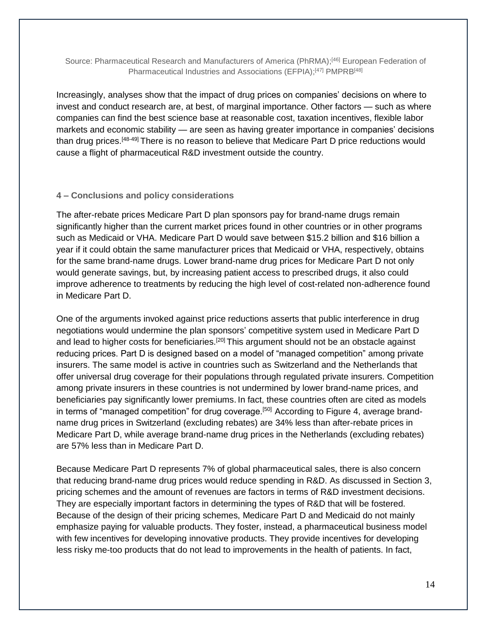Source: Pharmaceutical Research and Manufacturers of America (PhRMA);<sup>[46]</sup> European Federation of Pharmaceutical Industries and Associations (EFPIA);<sup>[47]</sup> PMPRB<sup>[48]</sup>

Increasingly, analyses show that the impact of drug prices on companies' decisions on where to invest and conduct research are, at best, of marginal importance. Other factors — such as where companies can find the best science base at reasonable cost, taxation incentives, flexible labor markets and economic stability — are seen as having greater importance in companies' decisions than drug prices.<sup>[48-49]</sup> There is no reason to believe that Medicare Part D price reductions would cause a flight of pharmaceutical R&D investment outside the country.

### **4 – Conclusions and policy considerations**

The after-rebate prices Medicare Part D plan sponsors pay for brand-name drugs remain significantly higher than the current market prices found in other countries or in other programs such as Medicaid or VHA. Medicare Part D would save between \$15.2 billion and \$16 billion a year if it could obtain the same manufacturer prices that Medicaid or VHA, respectively, obtains for the same brand-name drugs. Lower brand-name drug prices for Medicare Part D not only would generate savings, but, by increasing patient access to prescribed drugs, it also could improve adherence to treatments by reducing the high level of cost-related non-adherence found in Medicare Part D.

One of the arguments invoked against price reductions asserts that public interference in drug negotiations would undermine the plan sponsors' competitive system used in Medicare Part D and lead to higher costs for beneficiaries.<sup>[20]</sup> This argument should not be an obstacle against reducing prices. Part D is designed based on a model of "managed competition" among private insurers. The same model is active in countries such as Switzerland and the Netherlands that offer universal drug coverage for their populations through regulated private insurers. Competition among private insurers in these countries is not undermined by lower brand-name prices, and beneficiaries pay significantly lower premiums. In fact, these countries often are cited as models in terms of "managed competition" for drug coverage.<sup>[50]</sup> According to Figure 4, average brandname drug prices in Switzerland (excluding rebates) are 34% less than after-rebate prices in Medicare Part D, while average brand-name drug prices in the Netherlands (excluding rebates) are 57% less than in Medicare Part D.

Because Medicare Part D represents 7% of global pharmaceutical sales, there is also concern that reducing brand-name drug prices would reduce spending in R&D. As discussed in Section 3, pricing schemes and the amount of revenues are factors in terms of R&D investment decisions. They are especially important factors in determining the types of R&D that will be fostered. Because of the design of their pricing schemes, Medicare Part D and Medicaid do not mainly emphasize paying for valuable products. They foster, instead, a pharmaceutical business model with few incentives for developing innovative products. They provide incentives for developing less risky me-too products that do not lead to improvements in the health of patients. In fact,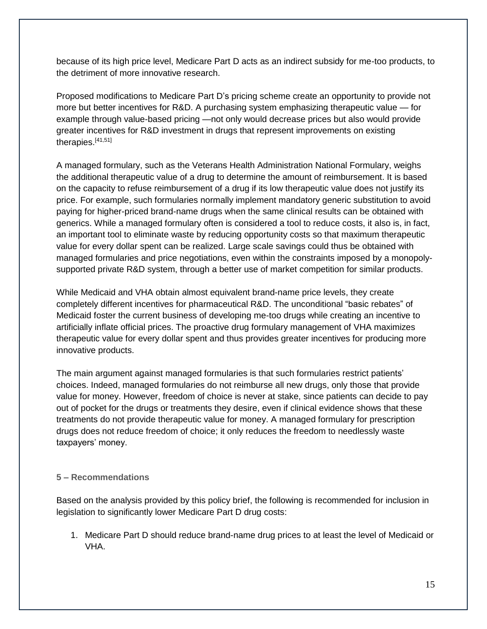because of its high price level, Medicare Part D acts as an indirect subsidy for me-too products, to the detriment of more innovative research.

Proposed modifications to Medicare Part D's pricing scheme create an opportunity to provide not more but better incentives for R&D. A purchasing system emphasizing therapeutic value — for example through value-based pricing —not only would decrease prices but also would provide greater incentives for R&D investment in drugs that represent improvements on existing therapies. [41,51]

A managed formulary, such as the Veterans Health Administration National Formulary, weighs the additional therapeutic value of a drug to determine the amount of reimbursement. It is based on the capacity to refuse reimbursement of a drug if its low therapeutic value does not justify its price. For example, such formularies normally implement mandatory generic substitution to avoid paying for higher-priced brand-name drugs when the same clinical results can be obtained with generics. While a managed formulary often is considered a tool to reduce costs, it also is, in fact, an important tool to eliminate waste by reducing opportunity costs so that maximum therapeutic value for every dollar spent can be realized. Large scale savings could thus be obtained with managed formularies and price negotiations, even within the constraints imposed by a monopolysupported private R&D system, through a better use of market competition for similar products.

While Medicaid and VHA obtain almost equivalent brand-name price levels, they create completely different incentives for pharmaceutical R&D. The unconditional "basic rebates" of Medicaid foster the current business of developing me-too drugs while creating an incentive to artificially inflate official prices. The proactive drug formulary management of VHA maximizes therapeutic value for every dollar spent and thus provides greater incentives for producing more innovative products.

The main argument against managed formularies is that such formularies restrict patients' choices. Indeed, managed formularies do not reimburse all new drugs, only those that provide value for money. However, freedom of choice is never at stake, since patients can decide to pay out of pocket for the drugs or treatments they desire, even if clinical evidence shows that these treatments do not provide therapeutic value for money. A managed formulary for prescription drugs does not reduce freedom of choice; it only reduces the freedom to needlessly waste taxpayers' money.

### **5 – Recommendations**

Based on the analysis provided by this policy brief, the following is recommended for inclusion in legislation to significantly lower Medicare Part D drug costs:

1. Medicare Part D should reduce brand-name drug prices to at least the level of Medicaid or VHA.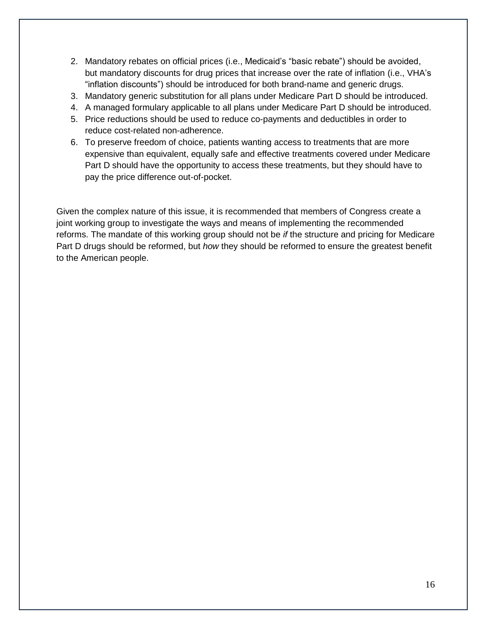- 2. Mandatory rebates on official prices (i.e., Medicaid's "basic rebate") should be avoided, but mandatory discounts for drug prices that increase over the rate of inflation (i.e., VHA's "inflation discounts") should be introduced for both brand-name and generic drugs.
- 3. Mandatory generic substitution for all plans under Medicare Part D should be introduced.
- 4. A managed formulary applicable to all plans under Medicare Part D should be introduced.
- 5. Price reductions should be used to reduce co-payments and deductibles in order to reduce cost-related non-adherence.
- 6. To preserve freedom of choice, patients wanting access to treatments that are more expensive than equivalent, equally safe and effective treatments covered under Medicare Part D should have the opportunity to access these treatments, but they should have to pay the price difference out-of-pocket.

Given the complex nature of this issue, it is recommended that members of Congress create a joint working group to investigate the ways and means of implementing the recommended reforms. The mandate of this working group should not be *if* the structure and pricing for Medicare Part D drugs should be reformed, but *how* they should be reformed to ensure the greatest benefit to the American people.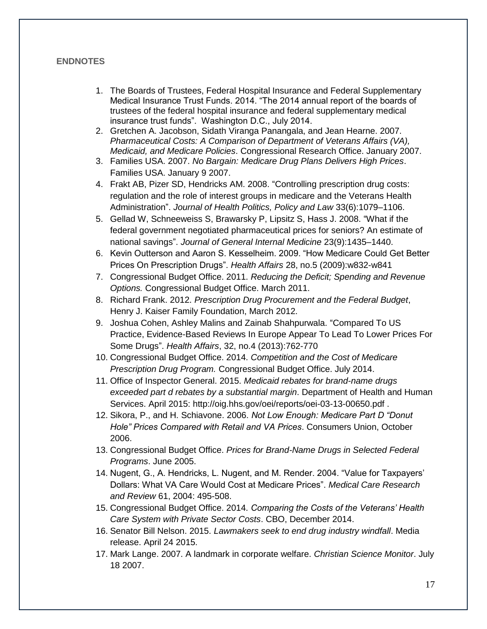### **ENDNOTES**

- 1. The Boards of Trustees, Federal Hospital Insurance and Federal Supplementary Medical Insurance Trust Funds. 2014. "The 2014 annual report of the boards of trustees of the federal hospital insurance and federal supplementary medical insurance trust funds". Washington D.C., July 2014.
- 2. Gretchen A. Jacobson, Sidath Viranga Panangala, and Jean Hearne. 2007. *Pharmaceutical Costs: A Comparison of Department of Veterans Affairs (VA), Medicaid, and Medicare Policies*. Congressional Research Office. January 2007.
- 3. Families USA. 2007. *No Bargain: Medicare Drug Plans Delivers High Prices*. Families USA. January 9 2007.
- 4. Frakt AB, Pizer SD, Hendricks AM. 2008. "Controlling prescription drug costs: regulation and the role of interest groups in medicare and the Veterans Health Administration". *Journal of Health Politics, Policy and Law* 33(6):1079–1106.
- 5. Gellad W, Schneeweiss S, Brawarsky P, Lipsitz S, Hass J. 2008. "What if the federal government negotiated pharmaceutical prices for seniors? An estimate of national savings". *Journal of General Internal Medicine* 23(9):1435–1440.
- 6. Kevin Outterson and Aaron S. Kesselheim. 2009. "How Medicare Could Get Better Prices On Prescription Drugs". *Health Affairs* 28, no.5 (2009):w832-w841
- 7. Congressional Budget Office. 2011. *Reducing the Deficit; Spending and Revenue Options.* Congressional Budget Office. March 2011.
- 8. Richard Frank. 2012. *Prescription Drug Procurement and the Federal Budget*, Henry J. Kaiser Family Foundation, March 2012.
- 9. Joshua Cohen, Ashley Malins and Zainab Shahpurwala. "Compared To US Practice, Evidence-Based Reviews In Europe Appear To Lead To Lower Prices For Some Drugs". *Health Affairs*, 32, no.4 (2013):762-770
- 10. Congressional Budget Office. 2014. *Competition and the Cost of Medicare Prescription Drug Program.* Congressional Budget Office. July 2014.
- 11. Office of Inspector General. 2015. *Medicaid rebates for brand-name drugs exceeded part d rebates by a substantial margin*. Department of Health and Human Services. April 2015: http://oig.hhs.gov/oei/reports/oei-03-13-00650.pdf .
- 12. Sikora, P., and H. Schiavone. 2006. *Not Low Enough: Medicare Part D "Donut Hole" Prices Compared with Retail and VA Prices*. Consumers Union, October 2006.
- 13. Congressional Budget Office. *Prices for Brand-Name Drugs in Selected Federal Programs*. June 2005.
- 14. Nugent, G., A. Hendricks, L. Nugent, and M. Render. 2004. "Value for Taxpayers' Dollars: What VA Care Would Cost at Medicare Prices". *Medical Care Research and Review* 61, 2004: 495-508.
- 15. Congressional Budget Office. 2014. *Comparing the Costs of the Veterans' Health Care System with Private Sector Costs*. CBO, December 2014.
- 16. Senator Bill Nelson. 2015. *Lawmakers seek to end drug industry windfall*. Media release. April 24 2015.
- 17. Mark Lange. 2007. A landmark in corporate welfare. *Christian Science Monitor*. July 18 2007.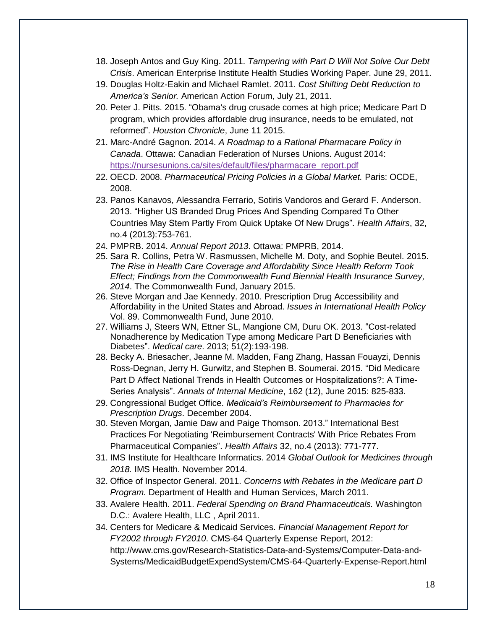- 18. Joseph Antos and Guy King. 2011. *Tampering with Part D Will Not Solve Our Debt Crisis*. American Enterprise Institute Health Studies Working Paper. June 29, 2011.
- 19. Douglas Holtz-Eakin and Michael Ramlet. 2011. *Cost Shifting Debt Reduction to America's Senior.* American Action Forum, July 21, 2011.
- 20. Peter J. Pitts. 2015. "Obama's drug crusade comes at high price; Medicare Part D program, which provides affordable drug insurance, needs to be emulated, not reformed". *Houston Chronicle*, June 11 2015.
- 21. Marc-André Gagnon. 2014. *A Roadmap to a Rational Pharmacare Policy in Canada*. Ottawa: Canadian Federation of Nurses Unions. August 2014: [https://nursesunions.ca/sites/default/files/pharmacare\\_report.pdf](https://nursesunions.ca/sites/default/files/pharmacare_report.pdf)
- 22. OECD. 2008. *Pharmaceutical Pricing Policies in a Global Market.* Paris: OCDE, 2008.
- 23. Panos Kanavos, Alessandra Ferrario, Sotiris Vandoros and Gerard F. Anderson. 2013. "Higher US Branded Drug Prices And Spending Compared To Other Countries May Stem Partly From Quick Uptake Of New Drugs". *Health Affairs*, 32, no.4 (2013):753-761.
- 24. PMPRB. 2014. *Annual Report 2013*. Ottawa: PMPRB, 2014.
- 25. Sara R. Collins, Petra W. Rasmussen, Michelle M. Doty, and Sophie Beutel. 2015. *The Rise in Health Care Coverage and Affordability Since Health Reform Took Effect; Findings from the Commonwealth Fund Biennial Health Insurance Survey, 2014*. The Commonwealth Fund, January 2015.
- 26. Steve Morgan and Jae Kennedy. 2010. Prescription Drug Accessibility and Affordability in the United States and Abroad. *Issues in International Health Policy* Vol. 89. Commonwealth Fund, June 2010.
- 27. Williams J, Steers WN, Ettner SL, Mangione CM, Duru OK. 2013. "Cost-related Nonadherence by Medication Type among Medicare Part D Beneficiaries with Diabetes". *Medical care*. 2013; 51(2):193-198.
- 28. Becky A. Briesacher, Jeanne M. Madden, Fang Zhang, Hassan Fouayzi, Dennis Ross-Degnan, Jerry H. Gurwitz, and Stephen B. Soumerai. 2015. "Did Medicare Part D Affect National Trends in Health Outcomes or Hospitalizations?: A Time-Series Analysis". *Annals of Internal Medicine*, 162 (12), June 2015: 825-833.
- 29. Congressional Budget Office. *Medicaid's Reimbursement to Pharmacies for Prescription Drugs*. December 2004.
- 30. Steven Morgan, Jamie Daw and Paige Thomson. 2013." International Best Practices For Negotiating 'Reimbursement Contracts' With Price Rebates From Pharmaceutical Companies". *Health Affairs* 32, no.4 (2013): 771-777.
- 31. IMS Institute for Healthcare Informatics. 2014 *Global Outlook for Medicines through 2018.* IMS Health. November 2014.
- 32. Office of Inspector General. 2011. *Concerns with Rebates in the Medicare part D Program.* Department of Health and Human Services, March 2011.
- 33. Avalere Health. 2011. *Federal Spending on Brand Pharmaceuticals.* Washington D.C.: Avalere Health, LLC , April 2011.
- 34. Centers for Medicare & Medicaid Services. *Financial Management Report for FY2002 through FY2010*. CMS-64 Quarterly Expense Report, 2012: http://www.cms.gov/Research-Statistics-Data-and-Systems/Computer-Data-and-Systems/MedicaidBudgetExpendSystem/CMS-64-Quarterly-Expense-Report.html